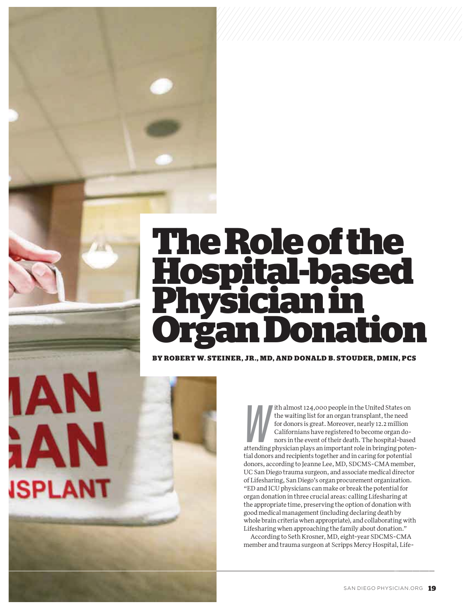# **The Role of the Hospital-based Physician in Organ Donation**

*///////////////////////////////////////////////////////////////////////////////////////////////*

BY ROBERT W. STEINER, JR., MD, AND DONALD B. STOUDER, DMIN, PCS

**iAN** 

**ISPLANT** 

W ith almost 124,000 people in the United States on the waiting list for an organ transplant, the need for donors is great. Moreover, nearly 12.2 million Californians have registered to become organ donors in the event of their death. The hospital-based attending physician plays an important role in bringing potential donors and recipients together and in caring for potential donors, according to Jeanne Lee, MD, SDCMS-CMA member, UC San Diego trauma surgeon, and associate medical director of Lifesharing, San Diego's organ procurement organization. "ED and ICU physicians can make or break the potential for organ donation in three crucial areas: calling Lifesharing at the appropriate time, preserving the option of donation with good medical management (including declaring death by whole brain criteria when appropriate), and collaborating with Lifesharing when approaching the family about donation."

According to Seth Krosner, MD, eight-year SDCMS-CMA member and trauma surgeon at Scripps Mercy Hospital, Life-

*\*New contracts only*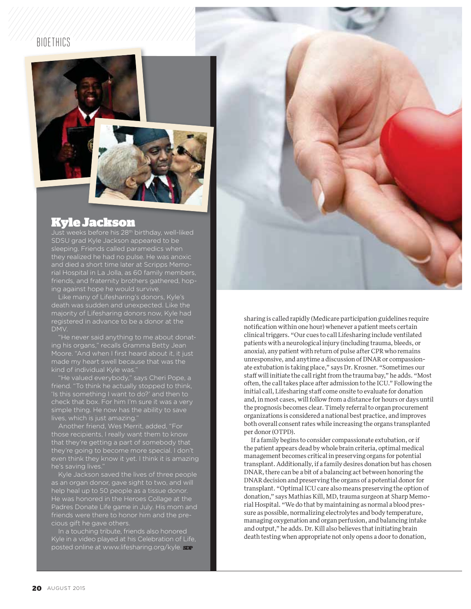### **BIOFTHICS**



## Kyle Jackson

Just weeks before his 28th birthday, well-liked SDSU grad Kyle Jackson appeared to be sleeping. Friends called paramedics when rial Hospital in La Jolla, as 60 family members, friends, and fraternity brothers gathered, hoping against hope he would survive.

Like many of Lifesharing's donors, Kyle's death was sudden and unexpected. Like the majority of Lifesharing donors now, Kyle had

"He never said anything to me about donating his organs," recalls Gramma Betty Jean Moore. "And when I first heard about it, it just made my heart swell because that was the kind of individual Kyle was."

"He valued everybody," says Cheri Pope, a friend. "To think he actually stopped to think, 'Is this something I want to do?' and then to check that box. For him I'm sure it was a very simple thing. He now has the ability to save lives, which is just amazing."

Another friend, Wes Merrit, added, "For those recipients, I really want them to know that they're getting a part of somebody that they're going to become more special. I don't even think they know it yet. I think it is amazing he's saving lives."

Kyle Jackson saved the lives of three people as an organ donor, gave sight to two, and will help heal up to 50 people as a tissue donor. He was honored in the Heroes Collage at the Padres Donate Life game in July. His mom and friends were there to honor him and the precious gift he gave others.

In a touching tribute, friends also honored Kyle in a video played at his Celebration of Life, posted online at www.lifesharing.org/kyle.



sharing is called rapidly (Medicare participation guidelines require notification within one hour) whenever a patient meets certain clinical triggers. "Our cues to call Lifesharing include ventilated patients with a neurological injury (including trauma, bleeds, or anoxia), any patient with return of pulse after CPR who remains unresponsive, and anytime a discussion of DNAR or compassionate extubation is taking place," says Dr. Krosner. "Sometimes our staff will initiate the call right from the trauma bay," he adds. "Most often, the call takes place after admission to the ICU." Following the initial call, Lifesharing staff come onsite to evaluate for donation and, in most cases, will follow from a distance for hours or days until the prognosis becomes clear. Timely referral to organ procurement organizations is considered a national best practice, and improves both overall consent rates while increasing the organs transplanted per donor (OTPD).

If a family begins to consider compassionate extubation, or if the patient appears dead by whole brain criteria, optimal medical management becomes critical in preserving organs for potential transplant. Additionally, if a family desires donation but has chosen DNAR, there can be a bit of a balancing act between honoring the DNAR decision and preserving the organs of a potential donor for transplant. "Optimal ICU care also means preserving the option of donation," says Mathias Kill, MD, trauma surgeon at Sharp Memorial Hospital. "We do that by maintaining as normal a blood pressure as possible, normalizing electrolytes and body temperature, managing oxygenation and organ perfusion, and balancing intake and output," he adds. Dr. Kill also believes that initiating brain death testing when appropriate not only opens a door to donation,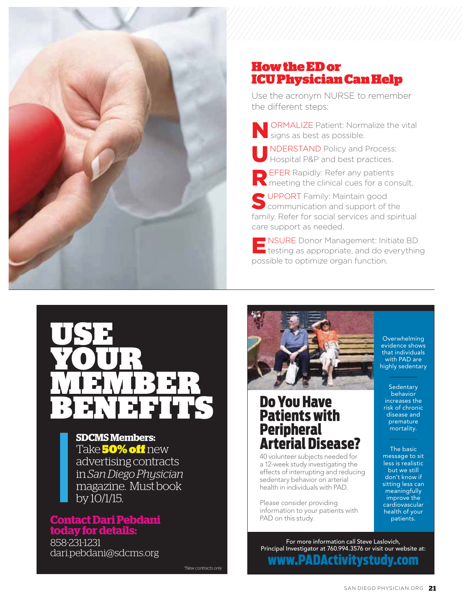

## How the ED or ICU Physician Can Help

Use the acronym NURSE to remember the different steps:

**ORMALIZE Patient: Normalize the vital** signs as best as possible.

NDERSTAND Policy and Process: Hospital P&P and best practices.

**REFER Rapidly: Refer any patients N** meeting the clinical cues for a consult.

SUPPORT Family: Maintain good<br>
Sommunication and support of the family. Refer for social services and spiritual care support as needed.

ENSURE Donor Management: Initiate BD testing as appropriate, and do everything possible to optimize organ function.



## **SDCMS Members:**  Take 50% off new advertising contracts in *San Diego Physician* magazine. Must book by  $10/1/\sqrt{15}$ .

## **Contact Dari Pebdani today for details:**

858-231-1231 dari.pebdani@sdcms.org

*\*New contracts only*



# Do You Have Patients with Peripheral Arterial Disease?

40 volunteer subjects needed for a 12-week study investigating the effects of interrupting and reducing sedentary behavior on arterial health in individuals with PAD.

Please consider providing information to your patients with PAD on this study.

**Overwhelming** evidence shows that individuals with PAD are highly sedentary

**Sedentary** behavior increases the risk of chronic disease and premature mortality.

The basic message to sit less is realistic but we still don't know if sitting less can meaningfully improve the cardiovascular health of your patients.

For more information call Steve Laslovich, Principal Investigator at 760.994.3576 or visit our website at: www.PADActivitystudy.com